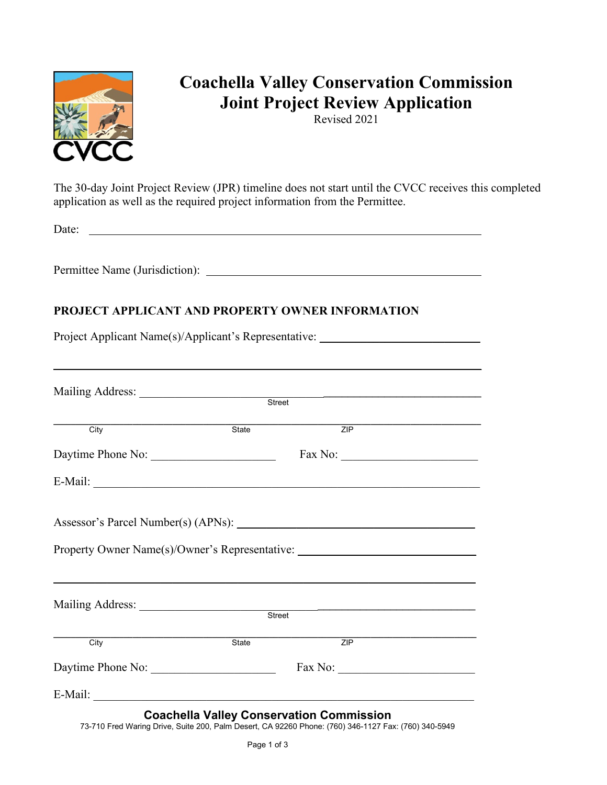

# **Coachella Valley Conservation Commission Joint Project Review Application**

Revised 2021

The 30-day Joint Project Review (JPR) timeline does not start until the CVCC receives this completed application as well as the required project information from the Permittee.

Date:

Permittee Name (Jurisdiction):

### **PROJECT APPLICANT AND PROPERTY OWNER INFORMATION**

Project Applicant Name(s)/Applicant's Representative: \_\_\_\_\_\_\_\_\_\_\_\_\_\_\_\_\_\_\_\_\_\_\_\_\_\_

| ZIP<br>E-Mail:                                                                                                                                          |
|---------------------------------------------------------------------------------------------------------------------------------------------------------|
|                                                                                                                                                         |
|                                                                                                                                                         |
|                                                                                                                                                         |
|                                                                                                                                                         |
|                                                                                                                                                         |
| Property Owner Name(s)/Owner's Representative: _________________________________                                                                        |
| Street                                                                                                                                                  |
|                                                                                                                                                         |
| ZIP                                                                                                                                                     |
|                                                                                                                                                         |
|                                                                                                                                                         |
| <b>Coachella Valley Conservation Commission</b><br>73-710 Fred Waring Drive, Suite 200, Palm Desert, CA 92260 Phone: (760) 346-1127 Fax: (760) 340-5949 |

\_\_\_\_\_\_\_\_\_\_\_\_\_\_\_\_\_\_\_\_\_\_\_\_\_\_\_\_\_\_\_\_\_\_\_\_\_\_\_\_\_\_\_\_\_\_\_\_\_\_\_\_\_\_\_\_\_\_\_\_\_\_\_\_\_\_\_\_\_\_\_\_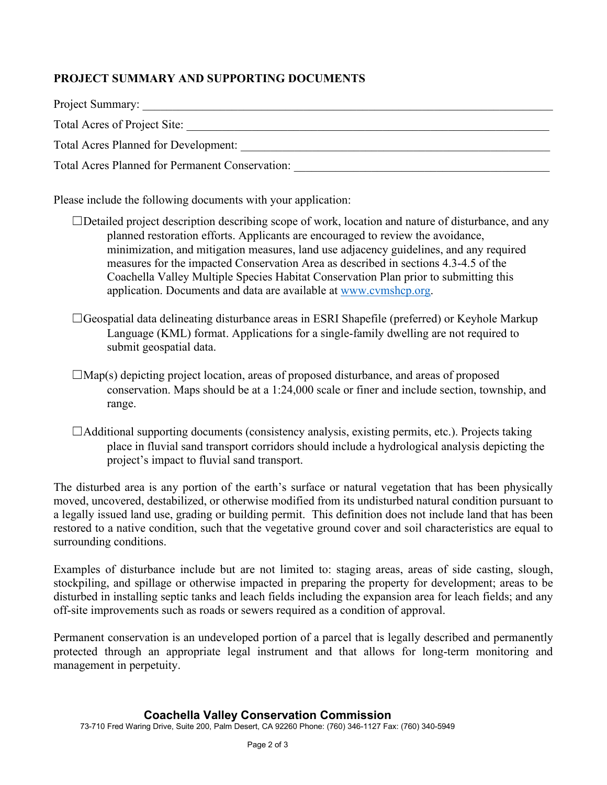## **PROJECT SUMMARY AND SUPPORTING DOCUMENTS**

| Project Summary:                                |  |
|-------------------------------------------------|--|
| Total Acres of Project Site:                    |  |
| Total Acres Planned for Development:            |  |
| Total Acres Planned for Permanent Conservation: |  |

Please include the following documents with your application:

- $\Box$ Detailed project description describing scope of work, location and nature of disturbance, and any planned restoration efforts. Applicants are encouraged to review the avoidance, minimization, and mitigation measures, land use adjacency guidelines, and any required measures for the impacted Conservation Area as described in sections 4.3-4.5 of the Coachella Valley Multiple Species Habitat Conservation Plan prior to submitting this application. Documents and data are available at [www.cvmshcp.org.](http://www.cvmshcp.org/)
- ☐Geospatial data delineating disturbance areas in ESRI Shapefile (preferred) or Keyhole Markup Language (KML) format. Applications for a single-family dwelling are not required to submit geospatial data.
- $\Box$ Map(s) depicting project location, areas of proposed disturbance, and areas of proposed conservation. Maps should be at a 1:24,000 scale or finer and include section, township, and range.
- $\Box$ Additional supporting documents (consistency analysis, existing permits, etc.). Projects taking place in fluvial sand transport corridors should include a hydrological analysis depicting the project's impact to fluvial sand transport.

The disturbed area is any portion of the earth's surface or natural vegetation that has been physically moved, uncovered, destabilized, or otherwise modified from its undisturbed natural condition pursuant to a legally issued land use, grading or building permit. This definition does not include land that has been restored to a native condition, such that the vegetative ground cover and soil characteristics are equal to surrounding conditions.

Examples of disturbance include but are not limited to: staging areas, areas of side casting, slough, stockpiling, and spillage or otherwise impacted in preparing the property for development; areas to be disturbed in installing septic tanks and leach fields including the expansion area for leach fields; and any off-site improvements such as roads or sewers required as a condition of approval.

Permanent conservation is an undeveloped portion of a parcel that is legally described and permanently protected through an appropriate legal instrument and that allows for long-term monitoring and management in perpetuity.

#### **Coachella Valley Conservation Commission**

73-710 Fred Waring Drive, Suite 200, Palm Desert, CA 92260 Phone: (760) 346-1127 Fax: (760) 340-5949